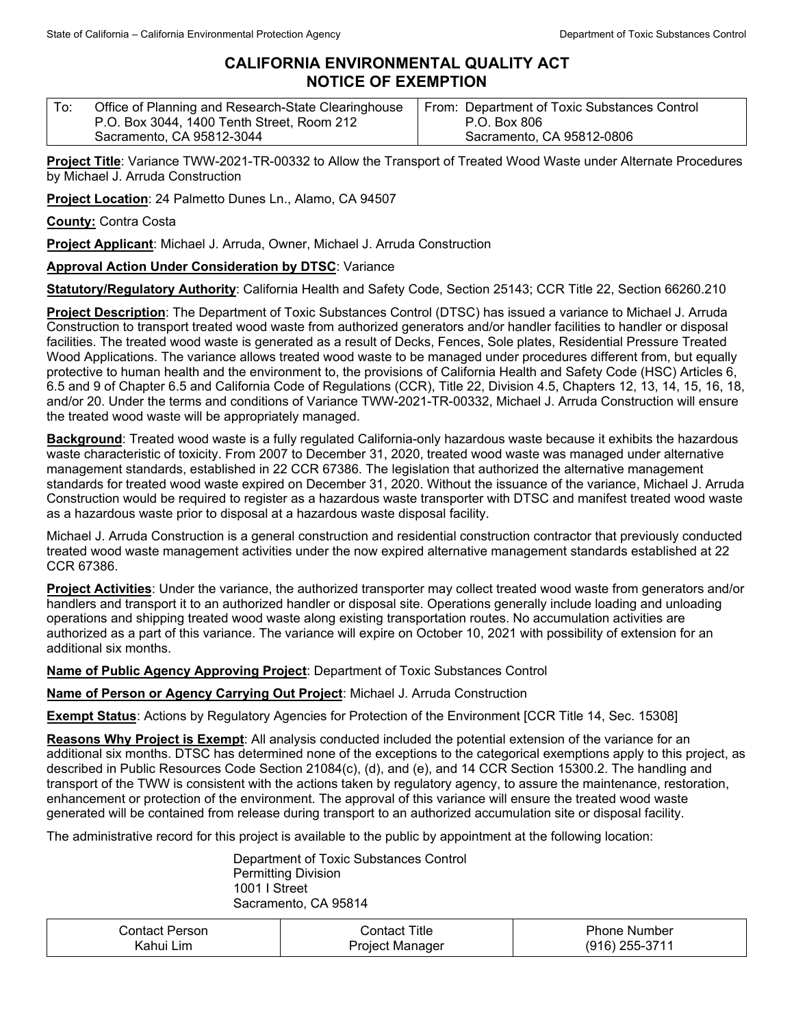## **CALIFORNIA ENVIRONMENTAL QUALITY ACT NOTICE OF EXEMPTION**

| Office of Planning and Research-State Clearinghouse<br>P.O. Box 3044, 1400 Tenth Street, Room 212 | From: Department of Toxic Substances Control<br>P.O. Box 806 |
|---------------------------------------------------------------------------------------------------|--------------------------------------------------------------|
| Sacramento, CA 95812-3044                                                                         | Sacramento, CA 95812-0806                                    |

**Project Title**: Variance TWW-2021-TR-00332 to Allow the Transport of Treated Wood Waste under Alternate Procedures by Michael J. Arruda Construction

**Project Location**: 24 Palmetto Dunes Ln., Alamo, CA 94507

**County:** Contra Costa

**Project Applicant**: Michael J. Arruda, Owner, Michael J. Arruda Construction

## **Approval Action Under Consideration by DTSC**: Variance

**Statutory/Regulatory Authority**: California Health and Safety Code, Section 25143; CCR Title 22, Section 66260.210

**Project Description**: The Department of Toxic Substances Control (DTSC) has issued a variance to Michael J. Arruda Construction to transport treated wood waste from authorized generators and/or handler facilities to handler or disposal facilities. The treated wood waste is generated as a result of Decks, Fences, Sole plates, Residential Pressure Treated Wood Applications. The variance allows treated wood waste to be managed under procedures different from, but equally protective to human health and the environment to, the provisions of California Health and Safety Code (HSC) Articles 6, 6.5 and 9 of Chapter 6.5 and California Code of Regulations (CCR), Title 22, Division 4.5, Chapters 12, 13, 14, 15, 16, 18, and/or 20. Under the terms and conditions of Variance TWW-2021-TR-00332, Michael J. Arruda Construction will ensure the treated wood waste will be appropriately managed.

**Background**: Treated wood waste is a fully regulated California-only hazardous waste because it exhibits the hazardous waste characteristic of toxicity. From 2007 to December 31, 2020, treated wood waste was managed under alternative management standards, established in 22 CCR 67386. The legislation that authorized the alternative management standards for treated wood waste expired on December 31, 2020. Without the issuance of the variance, Michael J. Arruda Construction would be required to register as a hazardous waste transporter with DTSC and manifest treated wood waste as a hazardous waste prior to disposal at a hazardous waste disposal facility.

Michael J. Arruda Construction is a general construction and residential construction contractor that previously conducted treated wood waste management activities under the now expired alternative management standards established at 22 CCR 67386.

**Project Activities**: Under the variance, the authorized transporter may collect treated wood waste from generators and/or handlers and transport it to an authorized handler or disposal site. Operations generally include loading and unloading operations and shipping treated wood waste along existing transportation routes. No accumulation activities are authorized as a part of this variance. The variance will expire on October 10, 2021 with possibility of extension for an additional six months.

**Name of Public Agency Approving Project**: Department of Toxic Substances Control

**Name of Person or Agency Carrying Out Project**: Michael J. Arruda Construction

**Exempt Status**: Actions by Regulatory Agencies for Protection of the Environment [CCR Title 14, Sec. 15308]

**Reasons Why Project is Exempt**: All analysis conducted included the potential extension of the variance for an additional six months. DTSC has determined none of the exceptions to the categorical exemptions apply to this project, as described in Public Resources Code Section 21084(c), (d), and (e), and 14 CCR Section 15300.2. The handling and transport of the TWW is consistent with the actions taken by regulatory agency, to assure the maintenance, restoration, enhancement or protection of the environment. The approval of this variance will ensure the treated wood waste generated will be contained from release during transport to an authorized accumulation site or disposal facility.

The administrative record for this project is available to the public by appointment at the following location:

Department of Toxic Substances Control Permitting Division 1001 I Street Sacramento, CA 95814

| Contact Person | $\mathop{\mathcal{L}\text{on}}\nolimits$ contact Title | <b>Phone Number</b> |
|----------------|--------------------------------------------------------|---------------------|
| Kahui Lim      | Project Manager                                        | (916) 255-3711      |